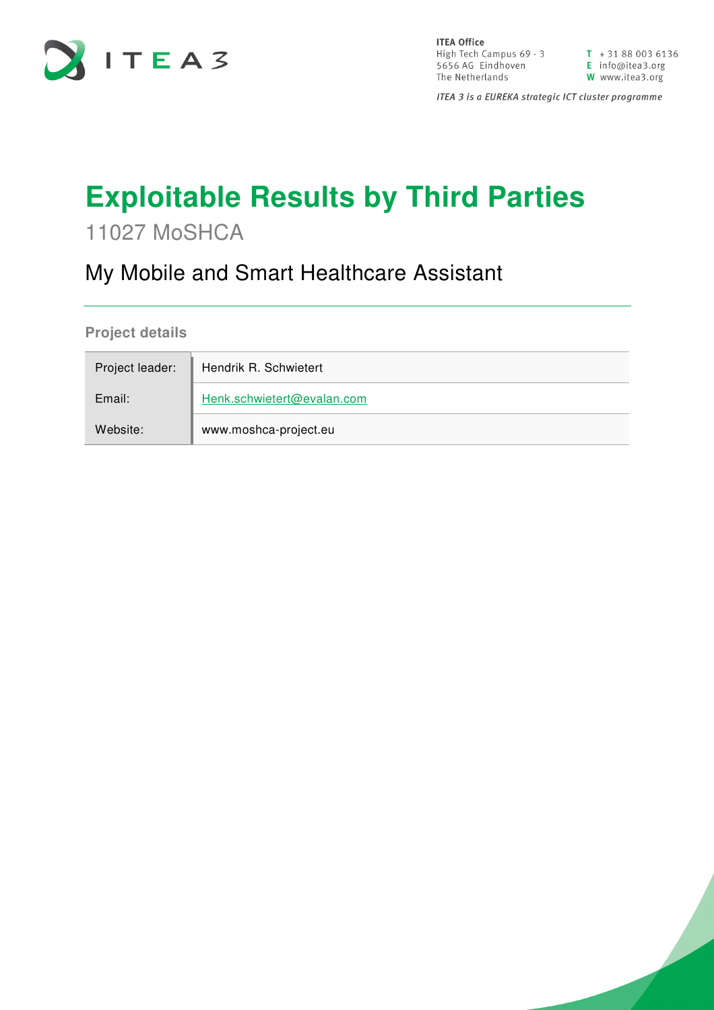

**ITEA Office** High Tech Campus 69 - 3<br>
T + 31 88 003 6136<br>
5656 AG Eindhoven<br>
The Netherlands<br>
W www.itea3.org The Netherlands

W www.itea3.org

ITEA 3 is a EUREKA strategic ICT cluster programme

## **Exploitable Results by Third Parties**

11027 MoSHCA

## My Mobile and Smart Healthcare Assistant

**Project details** 

| Project leader: | Hendrik R. Schwietert      |  |  |
|-----------------|----------------------------|--|--|
| Email:          | Henk.schwietert@evalan.com |  |  |
| Website:        | www.moshca-project.eu      |  |  |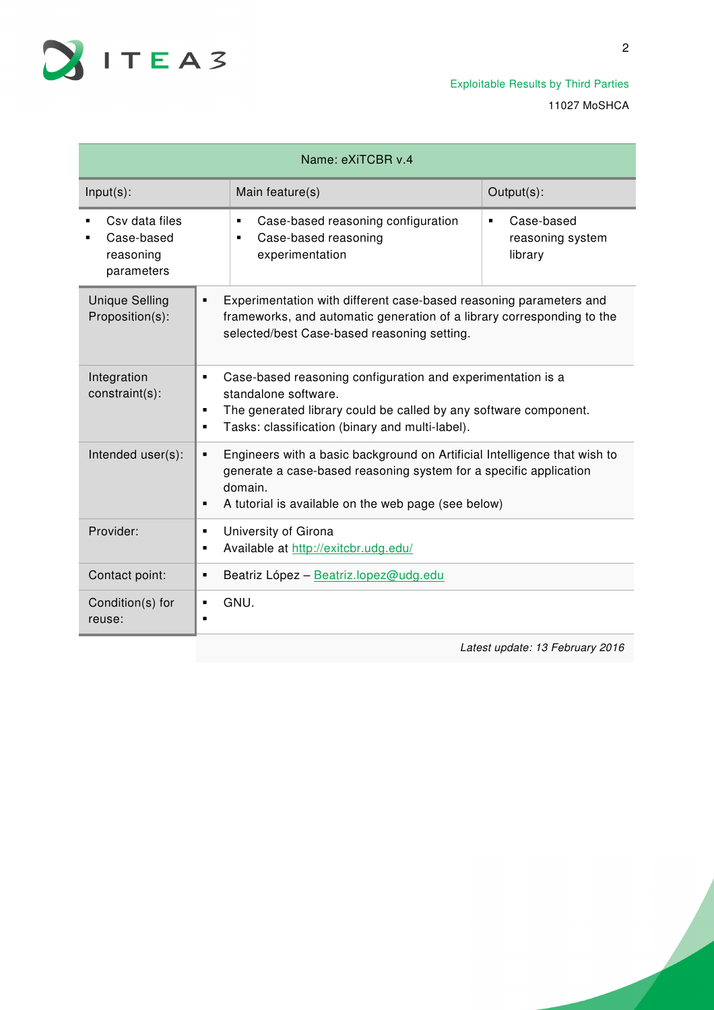

Exploitable Results by Third Parties 11027 MoSHCA

| Name: eXiTCBR v.4                                       |                                                                                                                                                                                                               |                                                                                                                                                                                                                  |                                           |  |
|---------------------------------------------------------|---------------------------------------------------------------------------------------------------------------------------------------------------------------------------------------------------------------|------------------------------------------------------------------------------------------------------------------------------------------------------------------------------------------------------------------|-------------------------------------------|--|
| $Input(s)$ :                                            |                                                                                                                                                                                                               | Main feature(s)                                                                                                                                                                                                  | Output(s):                                |  |
| Csy data files<br>Case-based<br>reasoning<br>parameters |                                                                                                                                                                                                               | Case-based reasoning configuration<br>$\blacksquare$<br>Case-based reasoning<br>$\blacksquare$<br>experimentation                                                                                                | Case-based<br>reasoning system<br>library |  |
| <b>Unique Selling</b><br>Proposition(s):                | Experimentation with different case-based reasoning parameters and<br>$\blacksquare$<br>frameworks, and automatic generation of a library corresponding to the<br>selected/best Case-based reasoning setting. |                                                                                                                                                                                                                  |                                           |  |
| Integration<br>constraint(s):                           | $\blacksquare$<br>٠<br>٠                                                                                                                                                                                      | Case-based reasoning configuration and experimentation is a<br>standalone software.<br>The generated library could be called by any software component.<br>Tasks: classification (binary and multi-label).       |                                           |  |
| Intended user(s):                                       | ٠                                                                                                                                                                                                             | Engineers with a basic background on Artificial Intelligence that wish to<br>generate a case-based reasoning system for a specific application<br>domain.<br>A tutorial is available on the web page (see below) |                                           |  |
| Provider:                                               | ٠<br>٠                                                                                                                                                                                                        | University of Girona<br>Available at http://exitcbr.udg.edu/                                                                                                                                                     |                                           |  |
| Contact point:                                          | ٠                                                                                                                                                                                                             | Beatriz López - Beatriz.lopez@udg.edu                                                                                                                                                                            |                                           |  |
| Condition(s) for<br>reuse:                              | $\blacksquare$<br>$\blacksquare$                                                                                                                                                                              | GNU.                                                                                                                                                                                                             |                                           |  |
|                                                         |                                                                                                                                                                                                               |                                                                                                                                                                                                                  | Latest update: 13 February 2016           |  |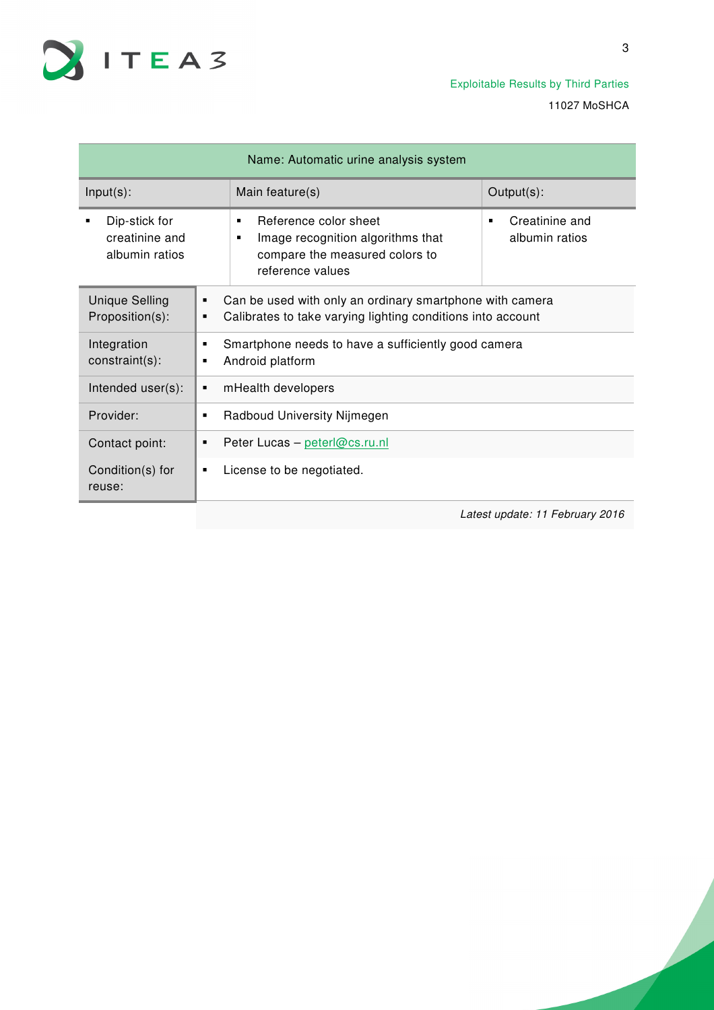

| Name: Automatic urine analysis system             |                                                                                                                                   |                                                                                                                            |                                       |
|---------------------------------------------------|-----------------------------------------------------------------------------------------------------------------------------------|----------------------------------------------------------------------------------------------------------------------------|---------------------------------------|
| $Input(s)$ :                                      |                                                                                                                                   | Main feature(s)                                                                                                            | Output(s):                            |
| Dip-stick for<br>creatinine and<br>albumin ratios |                                                                                                                                   | Reference color sheet<br>٠<br>Image recognition algorithms that<br>٠<br>compare the measured colors to<br>reference values | Creatinine and<br>٠<br>albumin ratios |
| <b>Unique Selling</b><br>Proposition(s):          | Can be used with only an ordinary smartphone with camera<br>٠<br>Calibrates to take varying lighting conditions into account<br>٠ |                                                                                                                            |                                       |
| Integration<br>constraint(s):                     | Smartphone needs to have a sufficiently good camera<br>Android platform                                                           |                                                                                                                            |                                       |
| Intended user(s):                                 | mHealth developers                                                                                                                |                                                                                                                            |                                       |
| Provider:                                         | Radboud University Nijmegen                                                                                                       |                                                                                                                            |                                       |
| Contact point:                                    | Peter Lucas - peterl@cs.ru.nl<br>٠                                                                                                |                                                                                                                            |                                       |
| Condition(s) for<br>reuse:                        | ٠                                                                                                                                 | License to be negotiated.                                                                                                  |                                       |
|                                                   |                                                                                                                                   |                                                                                                                            |                                       |

Latest update: 11 February 2016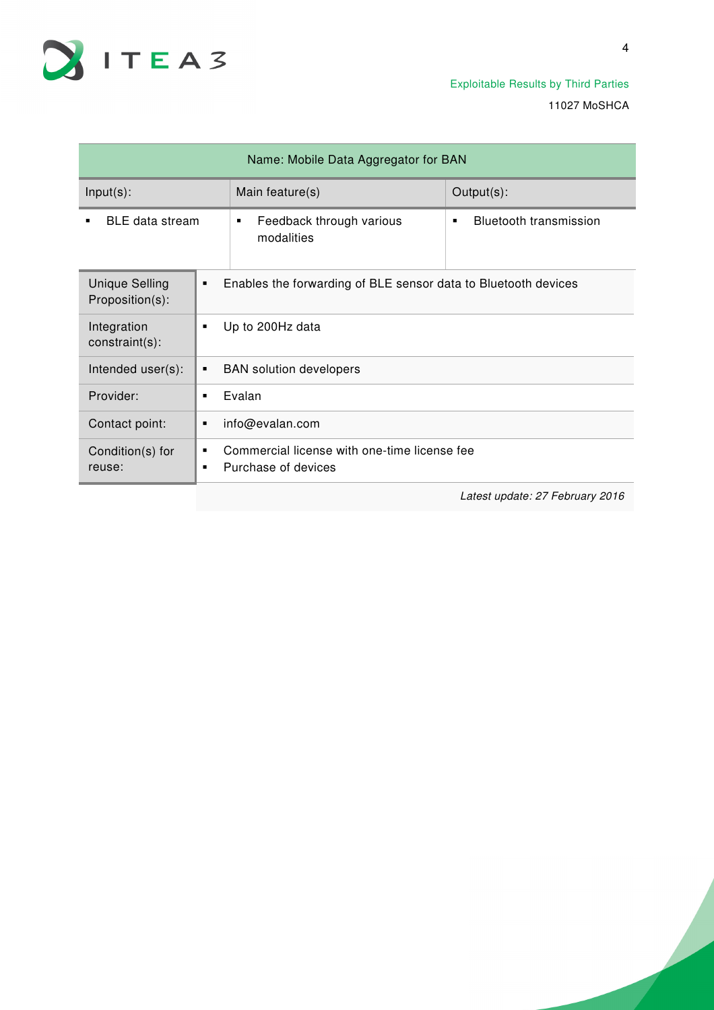

| Name: Mobile Data Aggregator for BAN     |                                                                                            |                                                                |                                    |  |
|------------------------------------------|--------------------------------------------------------------------------------------------|----------------------------------------------------------------|------------------------------------|--|
| $Input(s)$ :                             |                                                                                            | Main feature(s)                                                | Output(s):                         |  |
| <b>BLE</b> data stream                   |                                                                                            | Feedback through various<br>٠<br>modalities                    | <b>Bluetooth transmission</b><br>٠ |  |
| <b>Unique Selling</b><br>Proposition(s): | ٠                                                                                          | Enables the forwarding of BLE sensor data to Bluetooth devices |                                    |  |
| Integration<br>constraint(s):            | ٠                                                                                          | Up to 200Hz data                                               |                                    |  |
| Intended user(s):                        | $\blacksquare$                                                                             | <b>BAN</b> solution developers                                 |                                    |  |
| Provider:                                | $\blacksquare$                                                                             | Evalan                                                         |                                    |  |
| Contact point:                           | ٠                                                                                          | info@evalan.com                                                |                                    |  |
| Condition(s) for<br>reuse:               | Commercial license with one-time license fee<br>٠<br>Purchase of devices<br>$\blacksquare$ |                                                                |                                    |  |
|                                          |                                                                                            |                                                                |                                    |  |

Latest update: 27 February 2016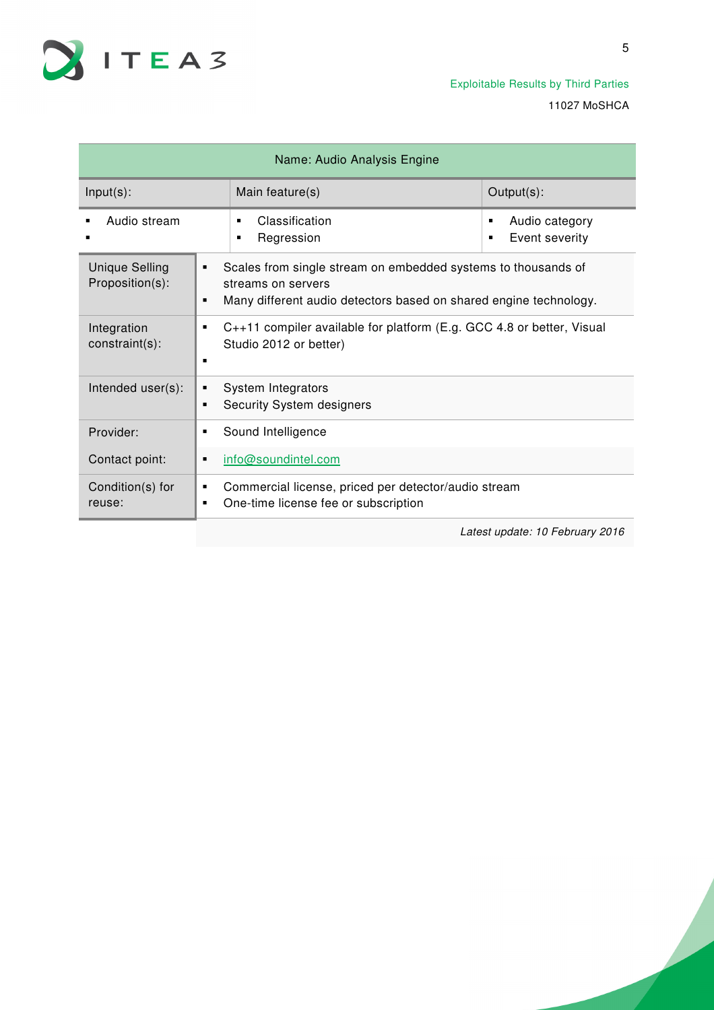

Exploitable Results by Third Parties 11027 MoSHCA

| Name: Audio Analysis Engine              |        |                                                                                                                                                          |                                            |  |
|------------------------------------------|--------|----------------------------------------------------------------------------------------------------------------------------------------------------------|--------------------------------------------|--|
| $Input(s)$ :                             |        | Main feature(s)                                                                                                                                          | Output(s):                                 |  |
| Audio stream                             |        | Classification<br>٠<br>Regression<br>٠                                                                                                                   | Audio category<br>٠<br>Event severity<br>٠ |  |
| <b>Unique Selling</b><br>Proposition(s): | ٠<br>٠ | Scales from single stream on embedded systems to thousands of<br>streams on servers<br>Many different audio detectors based on shared engine technology. |                                            |  |
| Integration<br>constraint(s):            | ٠<br>п | C++11 compiler available for platform (E.g. GCC 4.8 or better, Visual<br>Studio 2012 or better)                                                          |                                            |  |
| Intended user(s):                        | ٠<br>п | System Integrators<br>Security System designers                                                                                                          |                                            |  |
| Provider:                                | ٠      | Sound Intelligence                                                                                                                                       |                                            |  |
| Contact point:                           | п      | info@soundintel.com                                                                                                                                      |                                            |  |
| Condition(s) for<br>reuse:               | ٠<br>٠ | Commercial license, priced per detector/audio stream<br>One-time license fee or subscription                                                             |                                            |  |

Latest update: 10 February 2016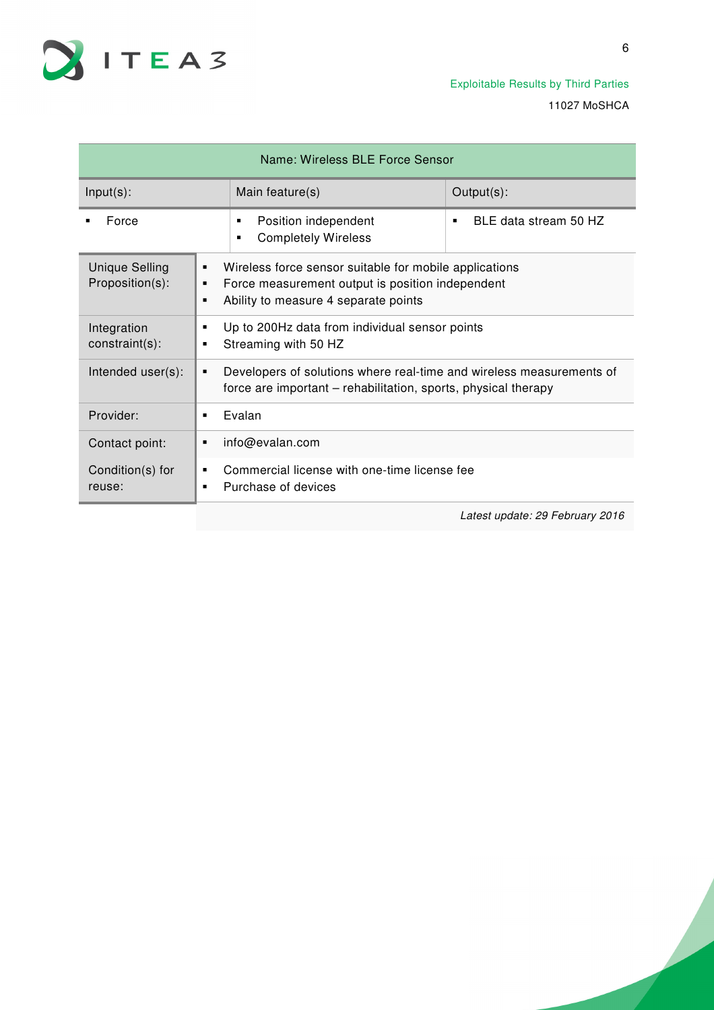

| Name: Wireless BLE Force Sensor          |                |                                                                                                                                                    |                                 |  |
|------------------------------------------|----------------|----------------------------------------------------------------------------------------------------------------------------------------------------|---------------------------------|--|
| $Input(s)$ :                             |                | Main feature(s)                                                                                                                                    | Output(s):                      |  |
| Force                                    |                | Position independent<br>٠<br><b>Completely Wireless</b><br>٠                                                                                       | BLE data stream 50 HZ<br>٠      |  |
| <b>Unique Selling</b><br>Proposition(s): | ٠<br>٠<br>٠    | Wireless force sensor suitable for mobile applications<br>Force measurement output is position independent<br>Ability to measure 4 separate points |                                 |  |
| Integration<br>constraint(s):            |                | Up to 200Hz data from individual sensor points<br>Streaming with 50 HZ                                                                             |                                 |  |
| Intended user(s):                        | ٠              | Developers of solutions where real-time and wireless measurements of<br>force are important – rehabilitation, sports, physical therapy             |                                 |  |
| Provider:                                | ٠              | Evalan                                                                                                                                             |                                 |  |
| Contact point:                           |                | info@evalan.com                                                                                                                                    |                                 |  |
| Condition(s) for<br>reuse:               | $\blacksquare$ | Commercial license with one-time license fee<br>Purchase of devices                                                                                |                                 |  |
|                                          |                |                                                                                                                                                    | Latest update: 29 February 2016 |  |

6